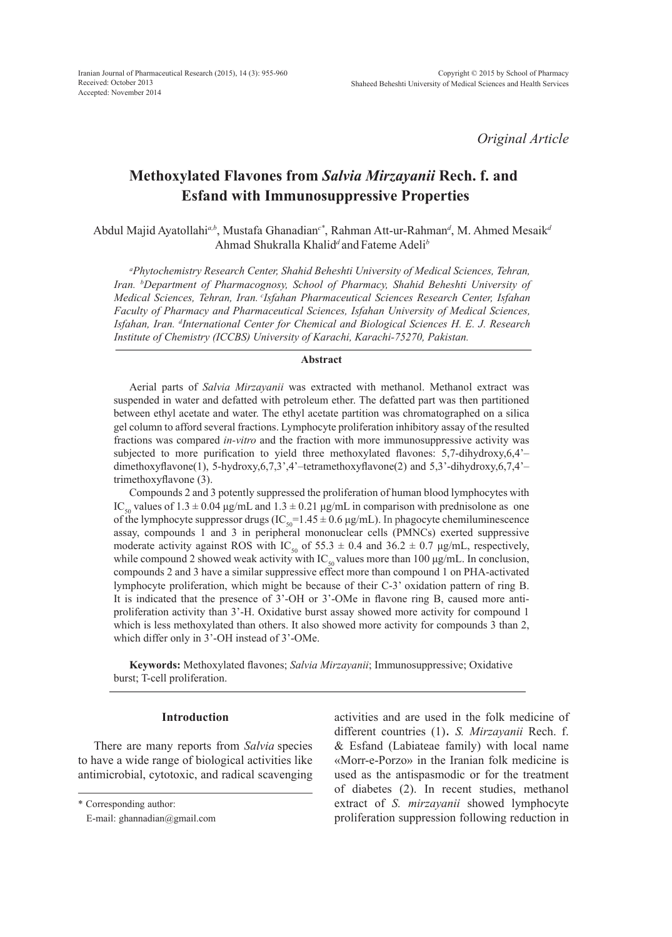*Original Article*

# **Methoxylated Flavones from** *Salvia Mirzayanii* **Rech. f. and Esfand with Immunosuppressive Properties**

Abdul Majid Ayatollahi*a,b*, Mustafa Ghanadian*c\**, Rahman Att-ur-Rahman*<sup>d</sup>* , M. Ahmed Mesaik*<sup>d</sup>* Ahmad Shukralla Khalid*<sup>d</sup>* and Fateme Adeli*<sup>b</sup>*

*a Phytochemistry Research Center, Shahid Beheshti University of Medical Sciences, Tehran, Iran. b Department of Pharmacognosy, School of Pharmacy, Shahid Beheshti University of Medical Sciences, Tehran, Iran. cIsfahan Pharmaceutical Sciences Research Center, Isfahan Faculty of Pharmacy and Pharmaceutical Sciences, Isfahan University of Medical Sciences, Isfahan, Iran. d International Center for Chemical and Biological Sciences H. E. J. Research Institute of Chemistry (ICCBS) University of Karachi, Karachi-75270, Pakistan.*

## **Abstract**

Aerial parts of *Salvia Mirzayanii* was extracted with methanol. Methanol extract was suspended in water and defatted with petroleum ether. The defatted part was then partitioned between ethyl acetate and water. The ethyl acetate partition was chromatographed on a silica gel column to afford several fractions. Lymphocyte proliferation inhibitory assay of the resulted fractions was compared *in-vitro* and the fraction with more immunosuppressive activity was subjected to more purification to yield three methoxylated flavones: 5,7-dihydroxy,6,4'– dimethoxyflavone(1), 5-hydroxy,6,7,3',4'–tetramethoxyflavone(2) and 5,3'-dihydroxy,6,7,4'– trimethoxyflavone (3).

Compounds 2 and 3 potently suppressed the proliferation of human blood lymphocytes with IC<sub>50</sub> values of 1.3 ± 0.04 μg/mL and 1.3 ± 0.21 μg/mL in comparison with prednisolone as one of the lymphocyte suppressor drugs (IC<sub>50</sub>=1.45  $\pm$  0.6 µg/mL). In phagocyte chemiluminescence assay, compounds 1 and 3 in peripheral mononuclear cells (PMNCs) exerted suppressive moderate activity against ROS with IC<sub>50</sub> of 55.3  $\pm$  0.4 and 36.2  $\pm$  0.7 µg/mL, respectively, while compound 2 showed weak activity with  $IC_{50}$  values more than 100  $\mu$ g/mL. In conclusion, compounds 2 and 3 have a similar suppressive effect more than compound 1 on PHA-activated lymphocyte proliferation, which might be because of their C-3' oxidation pattern of ring B. It is indicated that the presence of 3'-OH or 3'-OMe in flavone ring B, caused more antiproliferation activity than 3'-H. Oxidative burst assay showed more activity for compound 1 which is less methoxylated than others. It also showed more activity for compounds 3 than 2, which differ only in 3'-OH instead of 3'-OMe.

**Keywords:** Methoxylated flavones; *Salvia Mirzayanii*; Immunosuppressive; Oxidative burst; T-cell proliferation.

#### **Introduction**

There are many reports from *Salvia* species to have a wide range of biological activities like antimicrobial, cytotoxic, and radical scavenging

\* Corresponding author:

activities and are used in the folk medicine of different countries (1). *S. Mirzayanii* Rech. f. & Esfand (Labiateae family) with local name «Morr-e-Porzo» in the Iranian folk medicine is used as the antispasmodic or for the treatment of diabetes (2). In recent studies, methanol extract of *S. mirzayanii* showed lymphocyte proliferation suppression following reduction in

E-mail: ghannadian@gmail.com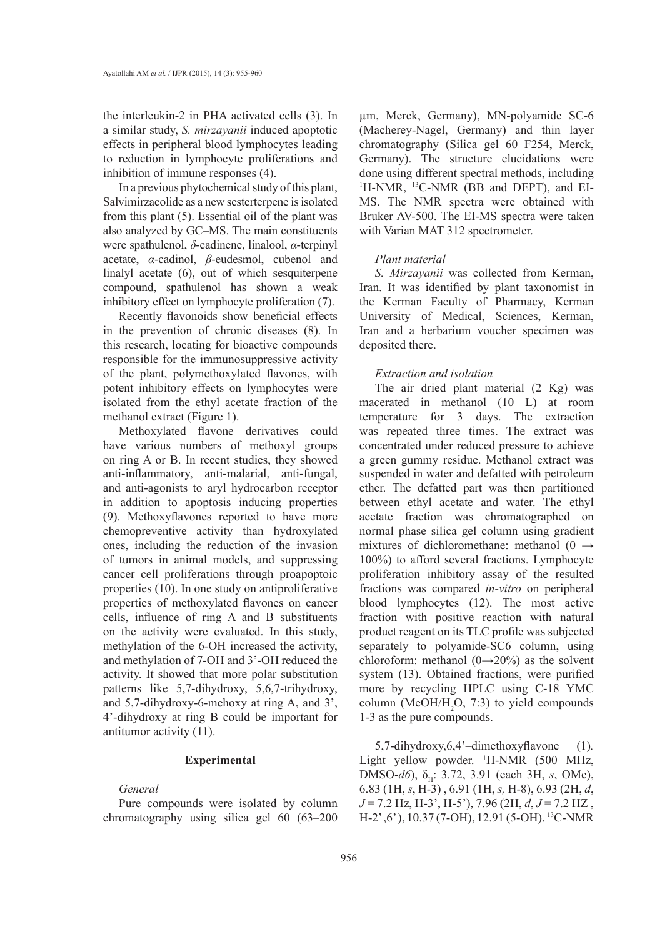the interleukin-2 in PHA activated cells (3). In a similar study, *S. mirzayanii* induced apoptotic effects in peripheral blood lymphocytes leading to reduction in lymphocyte proliferations and inhibition of immune responses (4).

In a previous phytochemical study of this plant, Salvimirzacolide as a new sesterterpene is isolated from this plant (5). Essential oil of the plant was also analyzed by GC–MS. The main constituents were spathulenol, *δ*-cadinene, linalool, *α*-terpinyl acetate, *α*-cadinol, *β*-eudesmol, cubenol and linalyl acetate (6), out of which sesquiterpene compound, spathulenol has shown a weak inhibitory effect on lymphocyte proliferation (7).

Recently flavonoids show beneficial effects in the prevention of chronic diseases (8). In this research, locating for bioactive compounds responsible for the immunosuppressive activity of the plant, polymethoxylated flavones, with potent inhibitory effects on lymphocytes were isolated from the ethyl acetate fraction of the methanol extract (Figure 1).

Methoxylated flavone derivatives could have various numbers of methoxyl groups on ring A or B. In recent studies, they showed anti-inflammatory, anti-malarial, anti-fungal, and anti-agonists to aryl hydrocarbon receptor in addition to apoptosis inducing properties (9). Methoxyflavones reported to have more chemopreventive activity than hydroxylated ones, including the reduction of the invasion of tumors in animal models, and suppressing cancer cell proliferations through proapoptoic properties (10). In one study on antiproliferative properties of methoxylated flavones on cancer cells, influence of ring A and B substituents on the activity were evaluated. In this study, methylation of the 6-OH increased the activity, and methylation of 7-OH and 3'-OH reduced the activity. It showed that more polar substitution patterns like 5,7-dihydroxy, 5,6,7-trihydroxy, and 5,7-dihydroxy-6-mehoxy at ring A, and 3', 4'-dihydroxy at ring B could be important for antitumor activity (11).

## **Experimental**

## *General*

Pure compounds were isolated by column chromatography using silica gel 60 (63–200

µm, Merck, Germany), MN-polyamide SC-6 (Macherey-Nagel, Germany) and thin layer chromatography (Silica gel 60 F254, Merck, Germany). The structure elucidations were done using different spectral methods, including <sup>1</sup>H-NMR, <sup>13</sup>C-NMR (BB and DEPT), and EI-MS. The NMR spectra were obtained with Bruker AV-500. The EI-MS spectra were taken with Varian MAT 312 spectrometer.

## *Plant material*

*S. Mirzayanii* was collected from Kerman, Iran. It was identified by plant taxonomist in the Kerman Faculty of Pharmacy, Kerman University of Medical, Sciences, Kerman, Iran and a herbarium voucher specimen was deposited there.

#### *Extraction and isolation*

The air dried plant material (2 Kg) was macerated in methanol (10 L) at room temperature for 3 days. The extraction was repeated three times. The extract was concentrated under reduced pressure to achieve a green gummy residue. Methanol extract was suspended in water and defatted with petroleum ether. The defatted part was then partitioned between ethyl acetate and water. The ethyl acetate fraction was chromatographed on normal phase silica gel column using gradient mixtures of dichloromethane: methanol (0  $\rightarrow$ 100%) to afford several fractions. Lymphocyte proliferation inhibitory assay of the resulted fractions was compared *in-vitro* on peripheral blood lymphocytes (12). The most active fraction with positive reaction with natural product reagent on its TLC profile was subjected separately to polyamide-SC6 column, using chloroform: methanol  $(0\rightarrow 20\%)$  as the solvent system (13). Obtained fractions, were purified more by recycling HPLC using C-18 YMC column (MeOH/H<sub>2</sub>O, 7:3) to yield compounds 1-3 as the pure compounds.

5,7-dihydroxy,6,4'–dimethoxyflavone (1)*.*  Light yellow powder. <sup>1</sup>H-NMR (500 MHz, DMSO-*d6*), δ<sub>H</sub>: 3.72, 3.91 (each 3H, *s*, OMe), 6.83 (1H, *s*, H-3) , 6.91 (1H, *s,* H-8), 6.93 (2H, *d*, *J* = 7.2 Hz, H-3', H-5'), 7.96 (2H, *d*, *J* = 7.2 HZ, H-2' ,6' ), 10.37 (7-OH), 12.91 (5-OH). 13C-NMR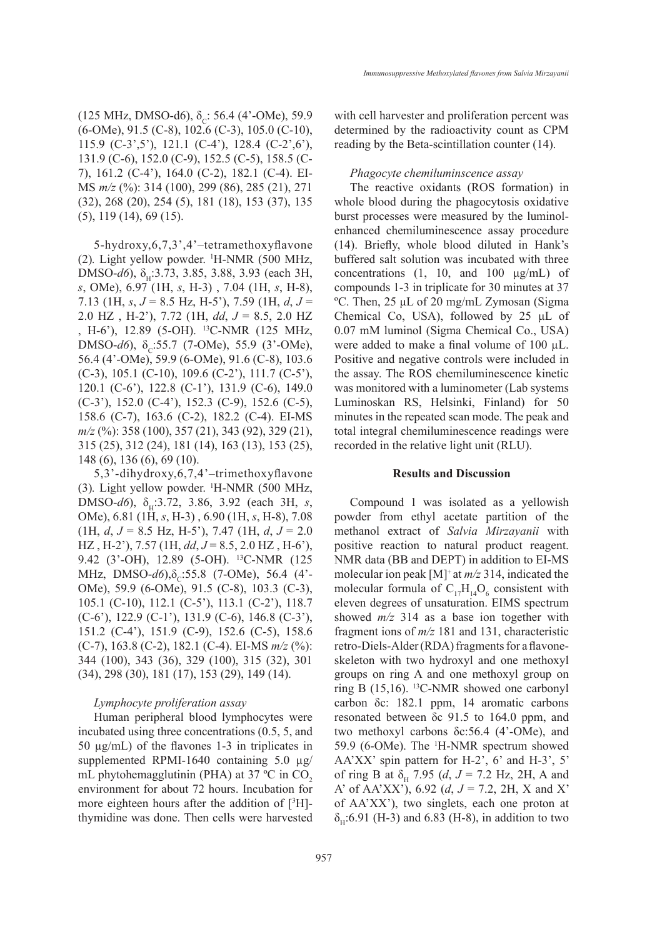(125 MHz, DMSO-d6),  $\delta_c$ : 56.4 (4'-OMe), 59.9 (6-OMe), 91.5 (C-8), 102.6 (C-3), 105.0 (C-10), 115.9 (C-3',5'), 121.1 (C-4'), 128.4 (C-2',6'), 131.9 (C-6), 152.0 (C-9), 152.5 (C-5), 158.5 (C-7), 161.2 (C-4'), 164.0 (C-2), 182.1 (C-4). EI-MS *m/z* (%): 314 (100), 299 (86), 285 (21), 271 (32), 268 (20), 254 (5), 181 (18), 153 (37), 135 (5), 119 (14), 69 (15).

5-hydroxy,6,7,3',4'–tetramethoxyflavone (2)*.* Light yellow powder. <sup>1</sup> H-NMR (500 MHz, DMSO-*d6*), δ<sub>H</sub>:3.73, 3.85, 3.88, 3.93 (each 3H, *s*, OMe), 6.97 (1H, *s*, H-3) , 7.04 (1H, *s*, H-8), 7.13 (1H, *s*, *J* = 8.5 Hz, H-5'), 7.59 (1H, *d*, *J* = 2.0 HZ , H-2'), 7.72 (1H, *dd*, *J* = 8.5, 2.0 HZ , H-6'), 12.89 (5-OH). 13C-NMR (125 MHz, DMSO- $d6$ ),  $\delta_c$ :55.7 (7-OMe), 55.9 (3'-OMe), 56.4 (4'-OMe), 59.9 (6-OMe), 91.6 (C-8), 103.6 (C-3), 105.1 (C-10), 109.6 (C-2'), 111.7 (C-5'), 120.1 (C-6'), 122.8 (C-1'), 131.9 (C-6), 149.0 (C-3'), 152.0 (C-4'), 152.3 (C-9), 152.6 (C-5), 158.6 (C-7), 163.6 (C-2), 182.2 (C-4). EI-MS *m/z* (%): 358 (100), 357 (21), 343 (92), 329 (21), 315 (25), 312 (24), 181 (14), 163 (13), 153 (25), 148 (6), 136 (6), 69 (10).

5,3'-dihydroxy,6,7,4'–trimethoxyflavone (3)*.* Light yellow powder. <sup>1</sup> H-NMR (500 MHz, DMSO-*d6*), δ<sub>H</sub>:3.72, 3.86, 3.92 (each 3H, *s*, OMe), 6.81 (1H, *s*, H-3) , 6.90 (1H, *s*, H-8), 7.08 (1H, *d*, *J* = 8.5 Hz, H-5'), 7.47 (1H, *d*, *J* = 2.0 HZ , H-2'), 7.57 (1H, *dd*, *J* = 8.5, 2.0 HZ , H-6'), 9.42 (3'-OH), 12.89 (5-OH). <sup>13</sup>C-NMR (125 MHz, DMSO-*d*6),δ<sub>c</sub>:55.8 (7-OMe), 56.4 (4'-OMe), 59.9 (6-OMe), 91.5 (C-8), 103.3 (C-3), 105.1 (C-10), 112.1 (C-5'), 113.1 (C-2'), 118.7 (C-6'), 122.9 (C-1'), 131.9 (C-6), 146.8 (C-3'), 151.2 (C-4'), 151.9 (C-9), 152.6 (C-5), 158.6 (C-7), 163.8 (C-2), 182.1 (C-4). EI-MS *m/z* (%): 344 (100), 343 (36), 329 (100), 315 (32), 301 (34), 298 (30), 181 (17), 153 (29), 149 (14).

## *Lymphocyte proliferation assay*

Human peripheral blood lymphocytes were incubated using three concentrations (0.5, 5, and 50 µg/mL) of the flavones 1-3 in triplicates in supplemented RPMI-1640 containing 5.0 µg/ mL phytohemagglutinin (PHA) at  $37^{\circ}$ C in CO<sub>2</sub> environment for about 72 hours. Incubation for more eighteen hours after the addition of  $[3H]$ thymidine was done. Then cells were harvested with cell harvester and proliferation percent was determined by the radioactivity count as CPM reading by the Beta-scintillation counter (14).

#### *Phagocyte chemiluminscence assay*

The reactive oxidants (ROS formation) in whole blood during the phagocytosis oxidative burst processes were measured by the luminolenhanced chemiluminescence assay procedure (14). Briefly, whole blood diluted in Hank's buffered salt solution was incubated with three concentrations  $(1, 10, \text{ and } 100 \text{ µg/mL})$  of compounds 1-3 in triplicate for 30 minutes at 37 ºC. Then, 25 μL of 20 mg/mL Zymosan (Sigma Chemical Co, USA), followed by 25 μL of 0.07 mM luminol (Sigma Chemical Co., USA) were added to make a final volume of 100  $\mu$ L. Positive and negative controls were included in the assay. The ROS chemiluminescence kinetic was monitored with a luminometer (Lab systems Luminoskan RS, Helsinki, Finland) for 50 minutes in the repeated scan mode. The peak and total integral chemiluminescence readings were recorded in the relative light unit (RLU).

#### **Results and Discussion**

Compound 1 was isolated as a yellowish powder from ethyl acetate partition of the methanol extract of *Salvia Mirzayanii* with positive reaction to natural product reagent. NMR data (BB and DEPT) in addition to EI-MS molecular ion peak [M]+ at *m/z* 314, indicated the molecular formula of  $C_{17}H_{14}O_6$  consistent with eleven degrees of unsaturation. EIMS spectrum showed *m/z* 314 as a base ion together with fragment ions of *m/z* 181 and 131, characteristic retro-Diels-Alder (RDA) fragments for a flavoneskeleton with two hydroxyl and one methoxyl groups on ring A and one methoxyl group on ring B (15,16). 13C-NMR showed one carbonyl carbon δc: 182.1 ppm, 14 aromatic carbons resonated between δc 91.5 to 164.0 ppm, and two methoxyl carbons δc:56.4 (4'-OMe), and 59.9 (6-OMe). The <sup>1</sup>H-NMR spectrum showed AA'XX' spin pattern for H-2', 6' and H-3', 5' of ring B at  $\delta_{\rm H}$  7.95 (*d*, *J* = 7.2 Hz, 2H, A and A' of AA'XX'), 6.92 (*d*, *J* = 7.2, 2H, X and X' of AA'XX'), two singlets, each one proton at  $\delta$ <sub>u</sub>:6.91 (H-3) and 6.83 (H-8), in addition to two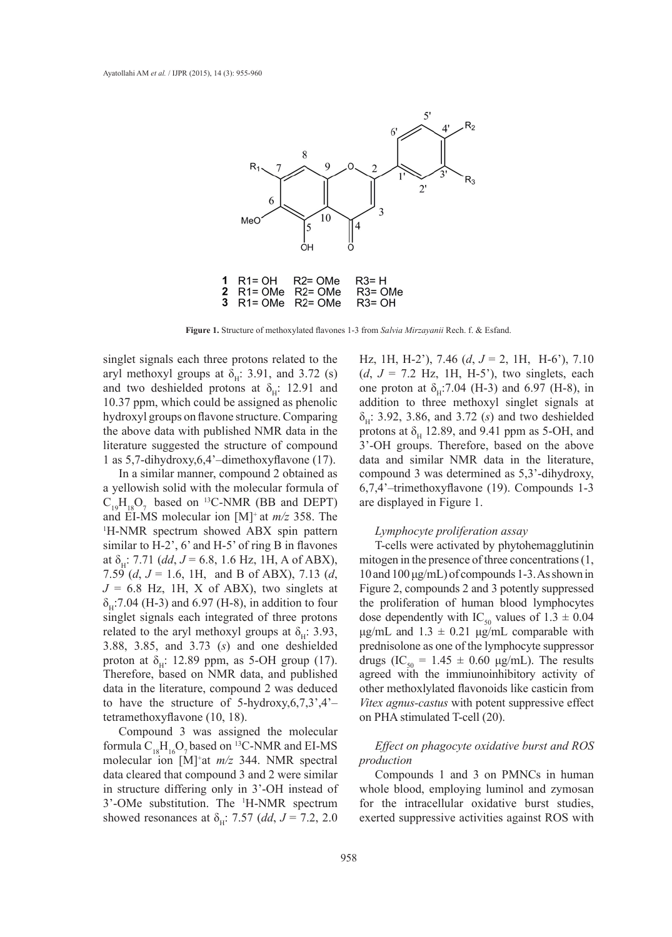

**Figure 1.** Structure of methoxylated flavones 1-3 from *Salvia Mirzayanii* Rech. f. & Esfand.

singlet signals each three protons related to the aryl methoxyl groups at  $\delta_{\rm H}$ : 3.91, and 3.72 (s) and two deshielded protons at  $\delta_{\rm H}$ : 12.91 and 10.37 ppm, which could be assigned as phenolic hydroxyl groups on flavone structure. Comparing the above data with published NMR data in the literature suggested the structure of compound 1 as 5,7-dihydroxy,6,4'–dimethoxyflavone (17).

In a similar manner, compound 2 obtained as a yellowish solid with the molecular formula of  $C_{19}H_{18}O_7$  based on <sup>13</sup>C-NMR (BB and DEPT) and EI-MS molecular ion  $[M]^+$  at  $m/z$  358. The H-NMR spectrum showed ABX spin pattern similar to H-2', 6' and H-5' of ring B in flavones at  $\delta_{\text{H}}$ : 7.71 (*dd*, *J* = 6.8, 1.6 Hz, 1H, A of ABX), 7.59 (*d*, *J* = 1.6, 1H, and B of ABX), 7.13 (*d*,  $J = 6.8$  Hz, 1H, X of ABX), two singlets at  $\delta_{\rm H}$ :7.04 (H-3) and 6.97 (H-8), in addition to four singlet signals each integrated of three protons related to the aryl methoxyl groups at  $\delta_{\rm H}$ : 3.93, 3.88, 3.85, and 3.73 (*s*) and one deshielded proton at  $\delta_{H}$ : 12.89 ppm, as 5-OH group (17). Therefore, based on NMR data, and published data in the literature, compound 2 was deduced to have the structure of 5-hydroxy,  $6, 7, 3', 4'$ tetramethoxyflavone (10, 18).

Compound 3 was assigned the molecular formula  $C_{18}H_{16}O_7$  based on <sup>13</sup>C-NMR and EI-MS molecular ion [M]<sup>+</sup> at *m/z* 344. NMR spectral data cleared that compound 3 and 2 were similar in structure differing only in 3'-OH instead of 3'-OMe substitution. The 1 H-NMR spectrum showed resonances at  $\delta_{\rm H}$ : 7.57 (*dd*, *J* = 7.2, 2.0

Hz, 1H, H-2'), 7.46 (*d*, *J* = 2, 1H, H-6'), 7.10  $(d, J = 7.2$  Hz, 1H, H-5'), two singlets, each one proton at  $\delta_{\rm H}$ :7.04 (H-3) and 6.97 (H-8), in addition to three methoxyl singlet signals at  $\delta_{\mu}$ : 3.92, 3.86, and 3.72 (*s*) and two deshielded protons at  $\delta_H$  12.89, and 9.41 ppm as 5-OH, and 3'-OH groups. Therefore, based on the above data and similar NMR data in the literature, compound 3 was determined as 5,3'-dihydroxy, 6,7,4'–trimethoxyflavone (19). Compounds 1-3 are displayed in Figure 1.

## *Lymphocyte proliferation assay*

T-cells were activated by phytohemagglutinin mitogen in the presence of three concentrations (1, 10 and 100 μg/mL) of compounds 1-3. As shown in Figure 2, compounds 2 and 3 potently suppressed the proliferation of human blood lymphocytes dose dependently with IC<sub>50</sub> values of  $1.\overline{3} \pm 0.04$ μg/mL and  $1.3 \pm 0.21$  μg/mL comparable with prednisolone as one of the lymphocyte suppressor drugs (IC<sub>50</sub> = 1.45  $\pm$  0.60 μg/mL). The results agreed with the immiunoinhibitory activity of other methoxlylated flavonoids like casticin from *Vitex agnus-castus* with potent suppressive effect on PHA stimulated T-cell (20).

# *Effect on phagocyte oxidative burst and ROS production*

Compounds 1 and 3 on PMNCs in human whole blood, employing luminol and zymosan for the intracellular oxidative burst studies, exerted suppressive activities against ROS with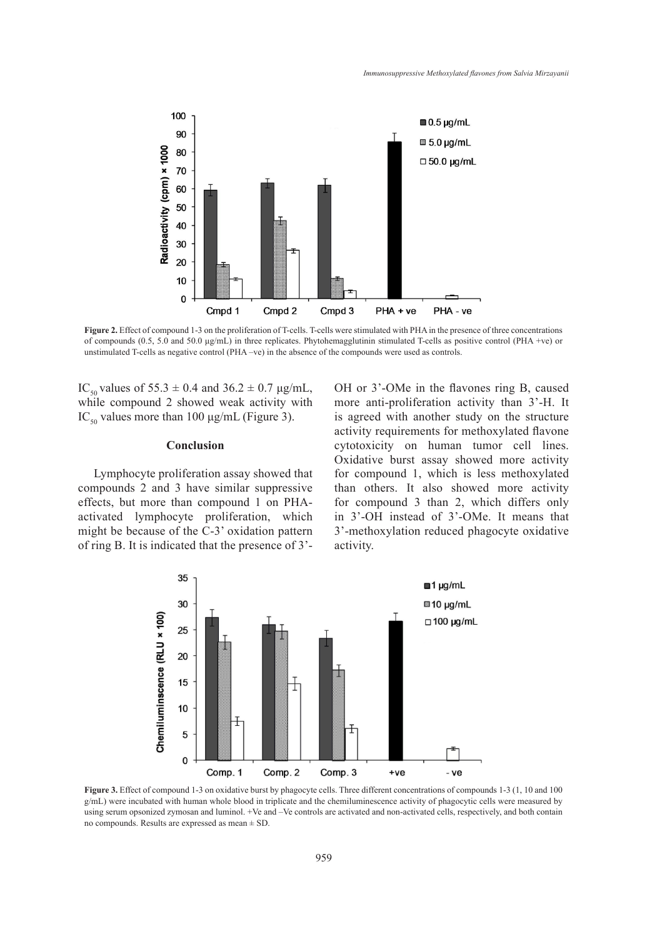

**Figure 2.** Effect of compound 1-3 on the proliferation of T-cells. T-cells were stimulated with PHA in the presence of three concentrations of compounds (0.5, 5.0 and 50.0 μg/mL) in three replicates. Phytohemagglutinin stimulated T-cells as positive control (PHA +ve) or unstimulated T-cells as negative control (PHA -ve) in the absence of the compounds were used as controls.

IC<sub>50</sub> values of 55.3  $\pm$  0.4 and 36.2  $\pm$  0.7 μg/mL, while compound 2 showed weak activity with IC<sub>50</sub> values more than 100 μg/mL (Figure 3).

### **Conclusion**

Lymphocyte proliferation assay showed that compounds 2 and 3 have similar suppressive effects, but more than compound 1 on PHAactivated lymphocyte proliferation, which might be because of the C-3' oxidation pattern of ring B. It is indicated that the presence of 3'- OH or 3'-OMe in the flavones ring B, caused more anti-proliferation activity than 3'-H. It is agreed with another study on the structure activity requirements for methoxylated flavone cytotoxicity on human tumor cell lines. Oxidative burst assay showed more activity for compound 1, which is less methoxylated than others. It also showed more activity for compound 3 than 2, which differs only in 3'-OH instead of 3'-OMe. It means that 3'-methoxylation reduced phagocyte oxidative activity.



Figure 3. Effect of compound 1-3 on oxidative burst by phagocyte cells. Three different concentrations of compounds 1-3 (1, 10 and 100) g/mL) were incubated with human whole blood in triplicate and the chemiluminescence activity of phagocytic cells were measured by using serum opsonized zymosan and luminol. +Ve and –Ve controls are activated and non-activated cells, respectively, and both contain no compounds. Results are expressed as mean ± SD.